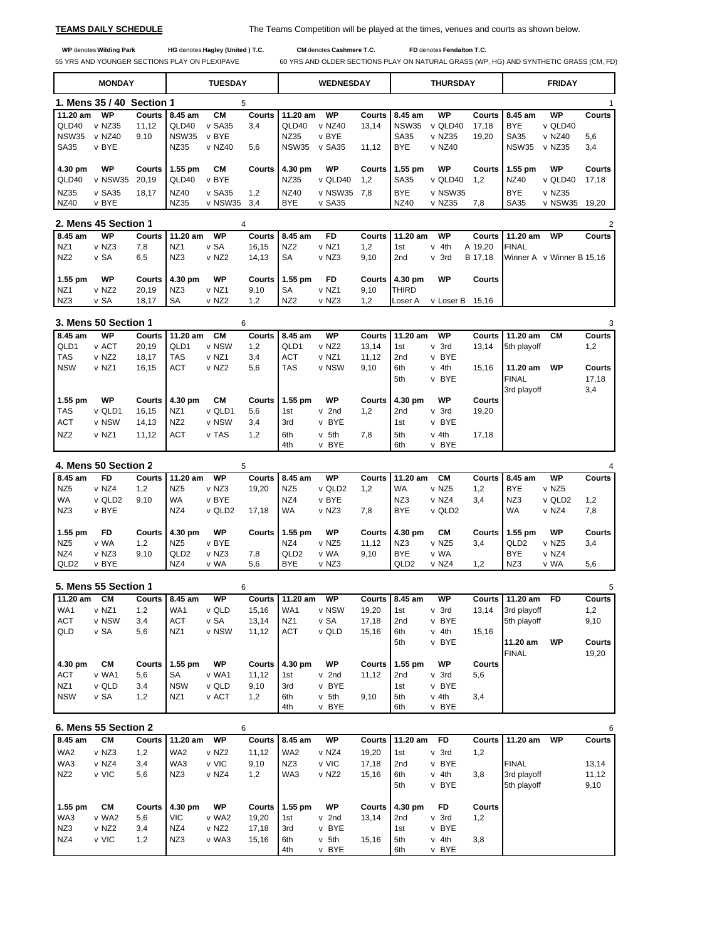**TEAMS DAILY SCHEDULE** The Teams Competition will be played at the times, venues and courts as shown below.

 **WP** denotes **Wilding Park HG** denotes **Hagley (United ) T.C. CM** denotes **Cashmere T.C. FD** denotes **Fendalton T.C.**

55 YRS AND YOUNGER SECTIONS PLAY ON PLEXIPAVE 60 YRS AND OLDER SECTIONS PLAY ON NATURAL GRASS (WP, HG) AND SYNTHETIC GRASS (CM, FD)

|                  | <b>MONDAY</b> |                           |                    | <b>TUESDAY</b> |               | <b>WEDNESDAY</b> |               |                      | THURSDAY                 |               |               | <b>FRIDAY</b>   |               |                 |  |
|------------------|---------------|---------------------------|--------------------|----------------|---------------|------------------|---------------|----------------------|--------------------------|---------------|---------------|-----------------|---------------|-----------------|--|
|                  |               | 1. Mens 35 / 40 Section 1 |                    | 5              |               |                  |               |                      |                          |               |               |                 |               |                 |  |
| $11.20$ am       | <b>WP</b>     |                           | Courts 8.45 am     | <b>CM</b>      | Courts        | $11.20$ am       | <b>WP</b>     | <b>Courts</b>        | 8.45 am                  | WP            | Courts I      | 8.45 am         | WP            | Courts          |  |
| QLD40            | v NZ35        | 11,12                     | QLD40              | v SA35         | 3,4           | QLD40            | v NZ40        | 13.14                | <b>NSW35</b>             | v QLD40       | 17.18         | <b>BYE</b>      | v QLD40       |                 |  |
| <b>NSW35</b>     | v NZ40        | 9.10                      | NSW35              | v BYE          |               | NZ35             | v BYE         |                      | <b>SA35</b>              | v NZ35        | 19.20         | <b>SA35</b>     | v NZ40        | 5,6             |  |
| <b>SA35</b>      | v BYE         |                           | NZ35               | v NZ40         | 5,6           | <b>NSW35</b>     | v SA35        | 11.12                | <b>BYE</b>               | $v$ NZ40      |               | NSW35           | v NZ35        | 3,4             |  |
| 4.30 pm<br>QLD40 | WP<br>v NSW35 | Courts<br>20.19           | $1.55$ pm<br>QLD40 | CМ<br>v BYE    | <b>Courts</b> | 4.30 pm<br>NZ35  | WP<br>v QLD40 | <b>Courts</b><br>1.2 | $1.55$ pm<br><b>SA35</b> | WP<br>v QLD40 | Courts<br>1.2 | 1.55 pm<br>NZ40 | WP<br>v QLD40 | Courts<br>17.18 |  |
|                  |               |                           |                    |                |               |                  |               |                      |                          |               |               |                 |               |                 |  |
| NZ35             | v SA35        | 18.17                     | NZ40               | v SA35         | 1.2           | NZ40             | v NSW35       | 7.8                  | <b>BYE</b>               | v NSW35       |               | <b>BYE</b>      | v NZ35        |                 |  |
| NZ40             | v BYE         |                           | NZ35               | v NSW35        | 3.4           | <b>BYE</b>       | $v$ SA35      |                      | NZ40                     | v NZ35        | 7.8           | <b>SA35</b>     | v NSW35       | 19.20           |  |

|                 |           | 2. Mens 45 Section 1 |       |                  |                   |       |                 |       |      |                  |           |               |                  |                           | 2      |
|-----------------|-----------|----------------------|-------|------------------|-------------------|-------|-----------------|-------|------|------------------|-----------|---------------|------------------|---------------------------|--------|
|                 | 8.45 am   | WP                   |       | Courts 111.20 am | WP                |       | Courts 8.45 am  | FD    |      | Courts 111.20 am | WP        |               | Courts 111.20 am | WP                        | Courts |
| NZ <sub>1</sub> |           | v NZ3                | 7.8   | NZ <sub>1</sub>  | v SA              | 16.15 | NZ <sub>2</sub> | v NZ1 | 1.2  | 1st              | v 4th     | A 19.20       | <b>FINAL</b>     |                           |        |
| NZ <sub>2</sub> |           | v SA                 | 6,5   | NZ3              | v NZ2             | 14.13 | SA              | v NZ3 | 9,10 | 2 <sub>nd</sub>  | v 3rd     | B 17.18       |                  | Winner A v Winner B 15.16 |        |
|                 | $1.55$ pm | WP                   |       | Courts   4.30 pm | WP                |       | Courts 11.55 pm | FD    |      | Courts   4.30 pm | WP        | <b>Courts</b> |                  |                           |        |
| NZ <sub>1</sub> |           | v NZ <sub>2</sub>    | 20.19 | NZ3              | v NZ1             | 9.10  | SA              | v NZ1 | 9.10 | <b>ITHIRD</b>    |           |               |                  |                           |        |
| NZ3             |           | v SA                 | 18,17 | <b>SA</b>        | v NZ <sub>2</sub> | 1.2   | NZ <sub>2</sub> | v NZ3 | 1.2  | <b>ILoser A</b>  | v Loser B | 15.16         |                  |                           |        |

|                 | 3. Mens 50 Section 1 |        |                 |           | 6             |            |                   |               |                 |                |          |              |    | 3             |
|-----------------|----------------------|--------|-----------------|-----------|---------------|------------|-------------------|---------------|-----------------|----------------|----------|--------------|----|---------------|
| 8.45 am         | WP                   | Courts | 11.20 am        | <b>CM</b> | Courts I      | 8.45 am    | WP                | Courts I      | 11.20 am        | WP             | Courts I | $11.20$ am   | CМ | <b>Courts</b> |
| QLD1            | v ACT                | 20,19  | QLD1            | v NSW     | 1.2           | QLD1       | v NZ <sub>2</sub> | 13.14         | 1st             | v 3rd          | 13,14    | 5th playoff  |    | 1,2           |
| <b>TAS</b>      | v NZ <sub>2</sub>    | 18,17  | <b>TAS</b>      | v NZ1     | 3,4           | <b>ACT</b> | v NZ1             | 11,12         | 2 <sub>nd</sub> | v BYE          |          |              |    |               |
| <b>NSW</b>      | v NZ1                | 16,15  | ACT             | v NZ2     | 5,6           | <b>TAS</b> | v NSW             | 9,10          | 6th             | v 4th          | 15.16    | 11.20 am     | WP | Courts        |
|                 |                      |        |                 |           |               |            |                   |               | 5th             | v BYE          |          | <b>FINAL</b> |    | 17,18         |
|                 |                      |        |                 |           |               |            |                   |               |                 |                |          | 3rd playoff  |    | 3,4           |
| $1.55$ pm       | <b>WP</b>            | Courts | 4.30 pm         | CМ        | <b>Courts</b> | $1.55$ pm  | WP                | <b>Courts</b> | 4.30 pm         | WP             | Courts   |              |    |               |
| <b>TAS</b>      | v QLD1               | 16,15  | NZ <sub>1</sub> | v QLD1    | 5,6           | 1st        | v 2nd             | 1,2           | 2 <sub>nd</sub> | $v$ 3rd        | 19,20    |              |    |               |
| <b>ACT</b>      | v NSW                | 14,13  | NZ <sub>2</sub> | v NSW     | 3,4           | 3rd        | v BYE             |               | 1st             | v BYE          |          |              |    |               |
| NZ <sub>2</sub> | v NZ1                | 11,12  | <b>ACT</b>      | v TAS     | 1,2           | 6th<br>4th | $v$ 5th<br>v BYE  | 7,8           | 5th<br>6th      | v 4th<br>v BYE | 17.18    |              |    |               |

|                  | 4. Mens 50 Section 2 |        |                  |           | 5             |                  |        |       |                  |           |        |                  |           | 4      |
|------------------|----------------------|--------|------------------|-----------|---------------|------------------|--------|-------|------------------|-----------|--------|------------------|-----------|--------|
| 8.45 am          | FD                   | Courts | 11.20 am         | <b>WP</b> | Courts I      | 8.45 am          | WP     |       | Courts 11.20 am  | CМ        | Courts | 8.45 am          | <b>WP</b> | Courts |
| NZ <sub>5</sub>  | v NZ4                | 1.2    | NZ <sub>5</sub>  | v NZ3     | 19,20         | NZ <sub>5</sub>  | v QLD2 | 1.2   | <b>WA</b>        | v NZ5     | 1.2    | <b>BYE</b>       | v NZ5     |        |
| <b>WA</b>        | v QLD2               | 9.10   | <b>WA</b>        | v BYE     |               | NZ4              | v BYE  |       | NZ3              | v NZ4     | 3.4    | NZ3              | v QLD2    | 1.2    |
| NZ3              | v BYE                |        | NZ4              | v QLD2    | 17.18         | <b>WA</b>        | v NZ3  | 7,8   | <b>BYE</b>       | v QLD2    |        | WA               | v NZ4     | 7,8    |
|                  |                      |        |                  |           |               |                  |        |       |                  |           |        |                  |           |        |
| $1.55$ pm        | FD                   | Courts | 4.30 pm          | <b>WP</b> | <b>Courts</b> | $1.55$ pm        | WP     |       | Courts 14.30 pm  | <b>CM</b> | Courts | $1.55$ pm        | <b>WP</b> | Courts |
| NZ <sub>5</sub>  | v WA                 | 1,2    | NZ <sub>5</sub>  | v BYE     |               | NZ4              | v NZ5  | 11.12 | NZ3              | v NZ5     | 3,4    | QLD <sub>2</sub> | v NZ5     | 3,4    |
| NZ4              | v NZ3                | 9.10   | QLD <sub>2</sub> | v NZ3     | 7.8           | QLD <sub>2</sub> | v WA   | 9.10  | <b>BYE</b>       | v WA      |        | <b>BYE</b>       | v NZ4     |        |
| QLD <sub>2</sub> | v BYE                |        | NZ4              | v WA      | 5,6           | <b>BYE</b>       | v NZ3  |       | QLD <sub>2</sub> | v NZ4     | 1.2    | NZ3              | v WA      | 5,6    |

|                 | 5. Mens 55 Section 1 |        |                 |       | 6             |                 |           |          |                 |           |               |              |           | 5      |
|-----------------|----------------------|--------|-----------------|-------|---------------|-----------------|-----------|----------|-----------------|-----------|---------------|--------------|-----------|--------|
| 11.20 am        | <b>CM</b>            |        | Courts 18.45 am | WP    | <b>Courts</b> | 11.20 am        | WP        |          | Courts 8.45 am  | <b>WP</b> | Courts        | $11.20$ am   | <b>FD</b> | Courts |
| WA <sub>1</sub> | v NZ1                | 1,2    | WA1             | v QLD | 15,16         | WA1             | v NSW     | 19,20    | 1st             | v 3rd     | 13,14         | 3rd playoff  |           | 1,2    |
| <b>ACT</b>      | v NSW                | 3,4    | <b>ACT</b>      | v SA  | 13.14         | NZ <sub>1</sub> | v SA      | 17,18    | 2 <sub>nd</sub> | v BYE     |               | 5th playoff  |           | 9,10   |
| <b>QLD</b>      | v SA                 | 5,6    | NZ <sub>1</sub> | v NSW | 11,12         | <b>ACT</b>      | v QLD     | 15,16    | 6th             | 4th<br>v  | 15.16         |              |           |        |
|                 |                      |        |                 |       |               |                 |           |          | 5th             | v BYE     |               | 11.20 am     | WP        | Courts |
|                 |                      |        |                 |       |               |                 |           |          |                 |           |               | <b>FINAL</b> |           | 19,20  |
| 4.30 pm         | <b>CM</b>            | Courts | $1.55$ pm       | WP    | Courts        | 4.30 pm         | <b>WP</b> | Courts I | $1.55$ pm       | <b>WP</b> | <b>Courts</b> |              |           |        |
| <b>ACT</b>      | v WA1                | 5,6    | SA              | v WA1 | 11,12         | 1st             | v 2nd     | 11,12    | 2nd             | v 3rd     | 5,6           |              |           |        |
| NZ <sub>1</sub> | v QLD                | 3.4    | <b>NSW</b>      | v QLD | 9,10          | 3rd             | v BYE     |          | 1st             | v BYE     |               |              |           |        |
| <b>NSW</b>      | v SA                 | 1,2    | NZ <sub>1</sub> | v ACT | 1,2           | 6th             | $v$ 5th   | 9,10     | 5th             | v 4th     | 3,4           |              |           |        |
|                 |                      |        |                 |       |               | 4th             | v BYE     |          | 6th             | v BYE     |               |              |           |        |

| 6. Mens 55 Section 2 |           |               |                 |                   | 6      |                 |         |               |                 |   |           |               |              |           | 6             |
|----------------------|-----------|---------------|-----------------|-------------------|--------|-----------------|---------|---------------|-----------------|---|-----------|---------------|--------------|-----------|---------------|
| 8.45 am              | <b>CM</b> | <b>Courts</b> | $11.20$ am      | WP                |        | Courts 8.45 am  | WP      | <b>Courts</b> | $11.20$ am      |   | <b>FD</b> | Courts I      | 11.20 am     | <b>WP</b> | <b>Courts</b> |
| WA <sub>2</sub>      | v NZ3     | 1.2           | WA <sub>2</sub> | v NZ <sub>2</sub> | 11.12  | WA <sub>2</sub> | v NZ4   | 19.20         | 1st             | v | 3rd       | 1,2           |              |           |               |
| WA3                  | v NZ4     | 3,4           | WA3             | v VIC             | 9,10   | NZ3             | v VIC   | 17,18         | 2 <sub>nd</sub> |   | v BYE     |               | <b>FINAL</b> |           | 13,14         |
| NZ <sub>2</sub>      | v VIC     | 5,6           | NZ3             | v NZ4             | 1,2    | WA3             | v NZ2   | 15,16         | 6th             | v | 4th       | 3,8           | 3rd playoff  |           | 11,12         |
|                      |           |               |                 |                   |        |                 |         |               | 5th             |   | v BYE     |               | 5th playoff  |           | 9,10          |
|                      |           |               |                 |                   |        |                 |         |               |                 |   |           |               |              |           |               |
| $1.55$ pm            | <b>CM</b> | Courts        | 4.30 pm         | WP                | Courts | $1.55$ pm       | WP      | <b>Courts</b> | 4.30 pm         |   | <b>FD</b> | <b>Courts</b> |              |           |               |
| WA3                  | v WA2     | 5,6           | VIC.            | v WA2             | 19,20  | 1st             | v 2nd   | 13.14         | 2 <sub>nd</sub> |   | v 3rd     | 1,2           |              |           |               |
| NZ3                  | v NZ2     | 3.4           | NZ4             | v NZ <sub>2</sub> | 17,18  | 3rd             | v BYE   |               | 1st             |   | v BYE     |               |              |           |               |
| NZ4                  | v VIC     | 1,2           | NZ3             | v WA3             | 15,16  | 6th             | $v$ 5th | 15,16         | 5th             | v | 4th       | 3,8           |              |           |               |
|                      |           |               |                 |                   |        | 4th             | v BYE   |               | 6th             |   | v BYE     |               |              |           |               |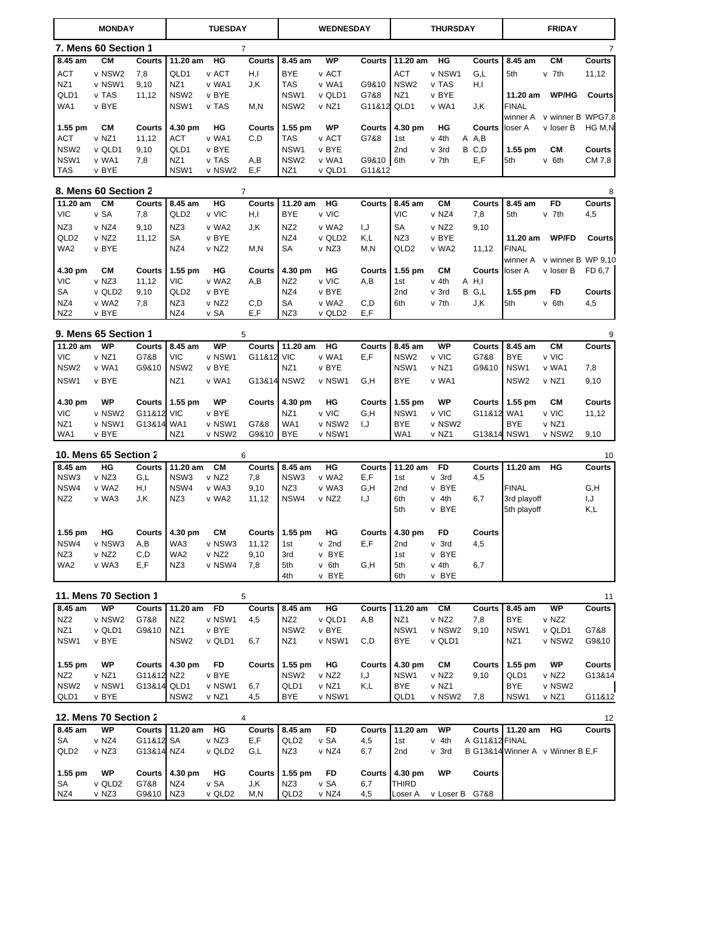| <b>MONDAY</b>            |                              |               | <b>TUESDAY</b>   |                 |                | <b>WEDNESDAY</b>        |                 | <b>THURSDAY</b> |                         |                 | <b>FRIDAY</b>  |                  |                                  |                |
|--------------------------|------------------------------|---------------|------------------|-----------------|----------------|-------------------------|-----------------|-----------------|-------------------------|-----------------|----------------|------------------|----------------------------------|----------------|
|                          | 7. Mens 60 Section 1         |               |                  |                 | $\overline{7}$ |                         |                 |                 |                         |                 |                |                  |                                  | $\overline{7}$ |
| 8.45 am                  | <b>CM</b>                    | Courts        | 11.20 am         | HG              | Courts         | 8.45 am                 | <b>WP</b>       | Courts          | 11.20 am                | HG              | <b>Courts</b>  | 8.45 am          | <b>CM</b>                        | Courts         |
| <b>ACT</b>               | v NSW2                       | 7,8           | QLD1             | v ACT           | H,I            | <b>BYE</b>              | v ACT           |                 | <b>ACT</b>              | v NSW1          | G,L            | 5th              | v 7th                            | 11,12          |
| NZ1                      | v NSW1                       | 9,10          | NZ1              | v WA1           | J,K            | <b>TAS</b>              | v WA1           | G9&10           | NSW <sub>2</sub>        | v TAS           | H,I            |                  |                                  |                |
| QLD1                     | v TAS                        | 11,12         | NSW <sub>2</sub> | v BYE           |                | NSW1                    | v QLD1          | G7&8            | NZ <sub>1</sub>         | v BYE           |                | 11.20 am         | <b>WP/HG</b>                     | Courts         |
| WA1                      | v BYE                        |               | NSW1             | v TAS           | M,N            | NSW <sub>2</sub>        | v NZ1           | G11&12 QLD1     |                         | v WA1           | J,K            | <b>FINAL</b>     |                                  |                |
|                          |                              |               |                  |                 |                |                         |                 |                 |                         |                 |                |                  | winner A v winner B WPG7,8       |                |
| 1.55 pm                  | СM                           | <b>Courts</b> | 4.30 pm          | HG              | Courts         | $1.55$ pm               | <b>WP</b>       | <b>Courts</b>   | 4.30 pm                 | HG              | Courts         | loser A          | v loser B                        | HG M,N         |
| <b>ACT</b>               | v NZ1                        | 11,12         | ACT              | v WA1           | C, D           | <b>TAS</b>              | v ACT           | G7&8            | 1st                     | v 4th           | A A,B          |                  |                                  |                |
| NSW <sub>2</sub>         | v QLD1                       | 9,10          | QLD1             | v BYE           |                | NSW1                    | v BYE           |                 | 2nd                     | v 3rd           | B C,D          | 1.55 pm          | CМ                               | <b>Courts</b>  |
| NSW1                     | v WA1                        | 7,8           | NZ <sub>1</sub>  | v TAS           | A,B            | NSW <sub>2</sub>        | v WA1           | G9&10 6th       |                         | v 7th           | E,F            | 5th              | v 6th                            | CM 7,8         |
| <b>TAS</b>               | v BYE                        |               | NSW1             | v NSW2          | E,F            | NZ <sub>1</sub>         | v QLD1          | G11&12          |                         |                 |                |                  |                                  |                |
|                          |                              |               |                  |                 |                |                         |                 |                 |                         |                 |                |                  |                                  |                |
|                          | 8. Mens 60 Section 2         |               |                  |                 | $\overline{7}$ |                         |                 |                 |                         |                 |                |                  |                                  | 8              |
| 11.20 am                 | <b>CM</b>                    | Courts        | 8.45 am          | HG              | Courts         | 11.20 am                | HG              | Courts          | 8.45 am                 | CМ              | <b>Courts</b>  | 8.45 am          | FD                               | Courts         |
| VIC                      | v SA                         | 7,8           | QLD <sub>2</sub> | v VIC           | H,I            | <b>BYE</b>              | v VIC           |                 | <b>VIC</b>              | v NZ4           | 7,8            | 5th              | v 7th                            | 4,5            |
| NZ3                      | v NZ4                        | 9,10          | NZ3              | v WA2           | J.K            | NZ <sub>2</sub>         | v WA2           | L,I             | SA                      | v NZ2           | 9,10           |                  |                                  |                |
| QLD <sub>2</sub>         | v NZ2                        | 11,12         | SA               | v BYE           |                | NZ4                     | v QLD2          | K,L             | NZ3                     | v BYE           |                | 11.20 am         | <b>WP/FD</b>                     | <b>Courts</b>  |
| WA2                      | v BYE                        |               | NZ4              | v NZ2           | M,N            | SA                      | v NZ3           | M, N            | QLD <sub>2</sub>        | v WA2           | 11,12          | <b>FINAL</b>     |                                  |                |
|                          |                              |               |                  |                 |                |                         |                 |                 |                         |                 |                |                  | winner A v winner B WP 9,10      |                |
| 4.30 pm                  | СM                           | <b>Courts</b> | $1.55$ pm        | HG              | Courts         | 4.30 pm                 | HG              | Courts          | $1.55$ pm               | CМ              | Courts         | loser A          | v loser B                        | FD 6.7         |
| VIC                      | v NZ3                        | 11,12         | <b>VIC</b>       | v WA2           | A,B            | NZ <sub>2</sub>         | v VIC           | A,B             | 1st                     | v 4th           | $A$ H,I        |                  |                                  |                |
| SA                       | v QLD2                       | 9,10          | QLD <sub>2</sub> | v BYE           |                | NZ4                     | v BYE           |                 | 2nd                     | v 3rd           | B G,L          | 1.55 pm          | FD                               | <b>Courts</b>  |
| NZ4                      | v WA2                        | 7,8           | NZ3              | v NZ2           | C,D            | SA                      | v WA2           | C,D             | 6th                     | v 7th           | J,K            | 5th              | v 6th                            | 4,5            |
| NZ <sub>2</sub>          | v BYE                        |               | NZ4              | v SA            | E,F            | NZ3                     | v QLD2          | E,F             |                         |                 |                |                  |                                  |                |
|                          | 9. Mens 65 Section 1         |               |                  | 5               |                |                         |                 |                 |                         |                 |                |                  |                                  | 9              |
|                          |                              |               |                  |                 |                |                         |                 |                 |                         |                 |                |                  |                                  |                |
| 11.20 am                 | <b>WP</b>                    | Courts        | 8.45 am          | WP              | Courts         | 11.20 am                | HG              | Courts          | 8.45 am                 | WP              | <b>Courts</b>  | 8.45 am          | <b>CM</b>                        | Courts         |
| VIC                      | v NZ1                        | G7&8          | <b>VIC</b>       | v NSW1          | G11&12         | <b>VIC</b>              | v WA1           | E,F             | NSW <sub>2</sub>        | v VIC           | G7&8           | <b>BYE</b>       | v VIC                            |                |
| NSW <sub>2</sub>         | v WA1                        | G9&10         | NSW <sub>2</sub> | v BYE           |                | NZ <sub>1</sub>         | v BYE           |                 | NSW1                    | v NZ1           | G9&10          | NSW1             | v WA1                            | 7,8            |
| NSW1                     | v BYE                        |               | NZ1              | v WA1           | G13&14         | NSW <sub>2</sub>        | v NSW1          | G,H             | <b>BYE</b>              | v WA1           |                | NSW <sub>2</sub> | v NZ1                            | 9,10           |
|                          |                              |               |                  |                 |                |                         |                 |                 |                         |                 |                |                  |                                  |                |
| 4.30 pm                  | WP                           | Courts        | $1.55$ pm        | WP              | Courts         | 4.30 pm                 | HG              | <b>Courts</b>   | 1.55 pm                 | <b>WP</b>       | <b>Courts</b>  | 1.55 pm          | <b>CM</b>                        | <b>Courts</b>  |
| VIC                      | v NSW2                       | G11&12        | <b>VIC</b>       | v BYE           |                | NZ <sub>1</sub>         | v VIC           | G,H             | NSW1                    | v VIC           | G11&12 WA1     |                  | v VIC                            | 11,12          |
| NZ1                      | v NSW1                       | G13&14 WA1    |                  | v NSW1          | G7&8           | WA1                     | v NSW2          | I, J            | BYE                     | v NSW2          |                | <b>BYE</b>       | v NZ1                            |                |
| WA1                      | v BYE                        |               | NZ <sub>1</sub>  | v NSW2          | G9&10          | <b>BYE</b>              | v NSW1          |                 | WA1                     | v NZ1           | G13&14 NSW1    |                  | v NSW2                           | 9,10           |
|                          | <b>10. Mens 65 Section 2</b> |               |                  |                 | 6              |                         |                 |                 |                         |                 |                |                  |                                  | 10             |
| 8.45 am                  | $H$ G                        | Courts        | 11.20 am CM      |                 | Courts         | 8.45 am                 | $H$ G           | Courts          | 11.20 am                | F <sub>D</sub>  | <b>Courts</b>  | 11.20 am         | HG                               | Courts         |
| NSW3                     | v NZ3                        | G,L           | NSW3             | v NZ2           | 7,8            | NSW3                    | v WA2           | E,F             | 1st                     | $v$ 3rd         | 4,5            |                  |                                  |                |
| NSW4                     | v WA2                        | H,I           | NSW4             | v WA3           | 9,10           | NZ3                     | v WA3           | G,H             | 2nd                     | v BYE           |                | <b>FINAL</b>     |                                  | G,H            |
| NZ <sub>2</sub>          | v WA3                        | J,K           | NZ3              | v WA2           | 11,12          | NSW4                    | v NZ2           | I,J             | 6th                     | v 4th           | 6,7            | 3rd playoff      |                                  | I,J            |
|                          |                              |               |                  |                 |                |                         |                 |                 | 5th                     | v BYE           |                | 5th playoff      |                                  | K,L            |
|                          |                              |               |                  |                 |                |                         |                 |                 |                         |                 |                |                  |                                  |                |
| 1.55 pm                  | HG                           | Courts        | 4.30 pm          | CМ              | Courts         | 1.55 pm                 | HG              | <b>Courts</b>   | 4.30 pm                 | FD              | <b>Courts</b>  |                  |                                  |                |
| NSW4                     | v NSW3                       | A,B           | WA3              | v NSW3          | 11,12          | 1st                     | $v$ 2nd         | E, F            | 2nd                     | v 3rd           | 4,5            |                  |                                  |                |
| NZ3                      | v NZ2                        | C,D           | WA2              | v NZ2           | 9,10           | 3rd                     | v BYE           |                 | 1st                     | v BYE           |                |                  |                                  |                |
| WA2                      | v WA3                        | E,F           | NZ3              | v NSW4          | 7,8            | 5th                     | v 6th           | G,H             | 5th                     | v 4th           | 6,7            |                  |                                  |                |
|                          |                              |               |                  |                 |                | 4th                     | v BYE           |                 | 6th                     | v BYE           |                |                  |                                  |                |
|                          |                              |               |                  |                 |                |                         |                 |                 |                         |                 |                |                  |                                  |                |
|                          | 11. Mens 70 Section 1        |               |                  |                 | 5              |                         |                 |                 |                         |                 |                |                  |                                  | 11             |
| 8.45 am                  | WP                           | Courts        | 11.20 am         | <b>FD</b>       | Courts         | 8.45 am                 | HG              | Courts          | 11.20 am                | <b>CM</b>       | <b>Courts</b>  | 8.45 am          | WP                               | Courts         |
| NZ <sub>2</sub>          | v NSW2                       | G7&8          | NZ <sub>2</sub>  | v NSW1          | 4,5            | NZ <sub>2</sub>         | v QLD1          | A,B             | NZ1                     | v NZ2           | 7,8            | <b>BYE</b>       | v NZ2                            |                |
| NZ1                      | v QLD1                       | G9&10         | NZ <sub>1</sub>  | v BYE           |                | NSW <sub>2</sub>        | v BYE           |                 | NSW1                    | v NSW2          | 9,10           | NSW1             | v QLD1                           | G7&8           |
| NSW1                     | v BYE                        |               | NSW <sub>2</sub> | v QLD1          | 6,7            | NZ <sub>1</sub>         | v NSW1          | C,D             | BYE                     | v QLD1          |                | NZ1              | v NSW2                           | G9&10          |
|                          |                              |               |                  |                 |                |                         |                 |                 |                         |                 |                |                  |                                  |                |
| 1.55 pm                  | WP                           | Courts        | 4.30 pm          | FD              | Courts         | 1.55 pm                 | HG              | Courts          | 4.30 pm                 | CМ              | Courts         | 1.55 pm          | WP                               | Courts         |
| NZ <sub>2</sub>          | v NZ1                        | G11&12 NZ2    |                  | v BYE           |                | NSW <sub>2</sub>        | v NZ2           | I,J             | NSW1                    | v NZ2           | 9,10           | QLD1             | v NZ2                            | G13&14         |
| NSW <sub>2</sub><br>QLD1 | v NSW1<br>v BYE              | G13&14 QLD1   | NSW <sub>2</sub> | v NSW1<br>v NZ1 | 6,7<br>4,5     | QLD1<br>BYE             | v NZ1<br>v NSW1 | K,L             | BYE<br>QLD1             | v NZ1<br>v NSW2 | 7,8            | BYE<br>NSW1      | v NSW2<br>v NZ1                  | G11&12         |
|                          |                              |               |                  |                 |                |                         |                 |                 |                         |                 |                |                  |                                  |                |
|                          | 12. Mens 70 Section 2        |               |                  |                 | 4              |                         |                 |                 |                         |                 |                |                  |                                  | 12             |
| 8.45 am                  | WP                           | Courts        | 11.20 am         | HG              | Courts         | 8.45 am                 | FD              | Courts          | 11.20 am                | <b>WP</b>       | Courts         | 11.20 am         | HG                               | Courts         |
| SA                       | v NZ4                        | G11&12 SA     |                  | v NZ3           | E,F            | QLD <sub>2</sub>        | v SA            | 4,5             | 1st                     | v 4th           | A G11&12 FINAL |                  |                                  |                |
| QLD <sub>2</sub>         | v NZ3                        | G13&14 NZ4    |                  | v QLD2          | G,L            | NZ3                     | v NZ4           | 6,7             | 2nd                     | v 3rd           |                |                  | B G13&14 Winner A v Winner B E,F |                |
|                          |                              |               |                  |                 |                |                         |                 |                 |                         |                 |                |                  |                                  |                |
| 1.55 pm                  | WP                           | <b>Courts</b> | 4.30 pm          | HG              | <b>Courts</b>  | 1.55 pm                 | FD              | Courts          | 4.30 pm                 | WP              | Courts         |                  |                                  |                |
| SA<br>NZ4                | v QLD2<br>v NZ3              | G7&8<br>G9&10 | NZ4<br>NZ3       | v SA<br>v QLD2  | J,K<br>M,N     | NZ3<br>QLD <sub>2</sub> | v SA<br>v NZ4   | 6,7<br>4,5      | <b>THIRD</b><br>Loser A | v Loser B G7&8  |                |                  |                                  |                |
|                          |                              |               |                  |                 |                |                         |                 |                 |                         |                 |                |                  |                                  |                |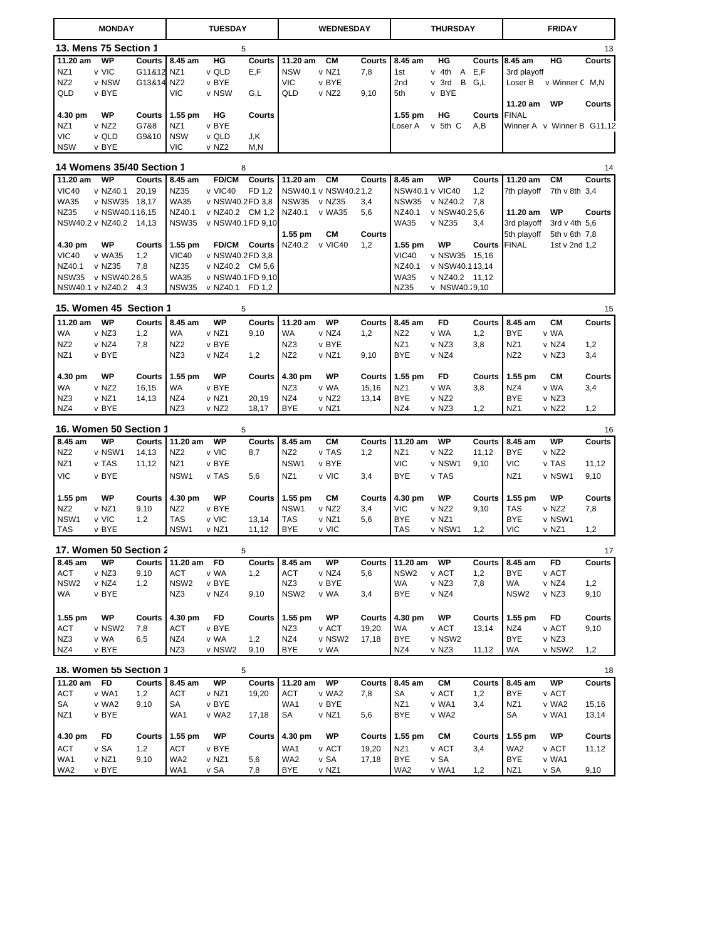|                  | <b>MONDAY</b>                       |        |                    | <b>TUESDAY</b>    |                |                  | <b>WEDNESDAY</b>     |               |                        | <b>THURSDAY</b> |               | <b>FRIDAY</b>     |                            |               |
|------------------|-------------------------------------|--------|--------------------|-------------------|----------------|------------------|----------------------|---------------|------------------------|-----------------|---------------|-------------------|----------------------------|---------------|
|                  | 13. Mens 75 Section 1               |        | 5                  |                   |                |                  |                      |               |                        |                 |               |                   |                            | 13            |
| 11.20 am         | <b>WP</b>                           | Courts | 8.45 am            | HG                | <b>Courts</b>  | 11.20 am         | CМ                   | <b>Courts</b> | 8.45 am                | HG              |               | Courts 8.45 am    | HG                         | <b>Courts</b> |
| NZ1              | v VIC                               | G11&12 | NZ1                | v QLD             | E,F            | <b>NSW</b>       | v NZ1                | 7,8           | 1st                    | v 4th A         | E,F           | 3rd playoff       |                            |               |
| NZ <sub>2</sub>  | v NSW                               | G13&14 | NZ <sub>2</sub>    | v BYE             |                | <b>VIC</b>       | v BYE                |               | 2nd                    | v 3rd           | B G.L         | Loser B           | v Winner C M,N             |               |
| QLD              | v BYE                               |        | <b>VIC</b>         | v NSW             | G,L            | QLD              | v NZ2                | 9,10          | 5th                    | v BYE           |               |                   |                            |               |
|                  |                                     |        |                    |                   |                |                  |                      |               |                        |                 |               | 11.20 am          | WP                         | Courts        |
| 4.30 pm          | <b>WP</b>                           | Courts | $1.55$ pm          | HG                | Courts         |                  |                      |               | $1.55$ pm              | HG              | Courts        | <b>FINAL</b>      |                            |               |
| NZ1              | v NZ2                               | G7&8   | NZ <sub>1</sub>    | v BYE             |                |                  |                      |               | Loser A                | v 5th C         | A,B           |                   | Winner A v Winner B G11,12 |               |
| <b>VIC</b>       | v QLD                               | G9&10  | <b>NSW</b>         | v QLD             | J,K            |                  |                      |               |                        |                 |               |                   |                            |               |
| <b>NSW</b>       | v BYE                               |        | VIC                | v NZ2             | M, N           |                  |                      |               |                        |                 |               |                   |                            |               |
|                  | <b>14 Womens 35/40 Section 1</b>    |        |                    |                   | 8              |                  |                      |               |                        |                 |               |                   |                            | 14            |
| 11.20 am         | <b>WP</b>                           | Courts | 8.45 am            | <b>FD/CM</b>      | Courts         | 11.20 am         | <b>CM</b>            | Courts        | 8.45 am                | <b>WP</b>       | <b>Courts</b> | $11.20$ am        | <b>CM</b>                  | <b>Courts</b> |
| <b>VIC40</b>     | v NZ40.1                            | 20,19  | <b>NZ35</b>        | v VIC40           | FD 1,2         |                  | NSW40.1 v NSW40.21,2 |               | <b>NSW40.1 v VIC40</b> |                 | 1,2           | 7th playoff       | 7th v 8th 3,4              |               |
| <b>WA35</b>      | v NSW35 18,17                       |        | <b>WA35</b>        | v NSW40.2 FD 3,8  |                | <b>NSW35</b>     | v NZ35               | 3,4           | <b>NSW35</b>           | v NZ40.2        | 7,8           |                   |                            |               |
| NZ35             | v NSW40.116,15                      |        | NZ40.1             | v NZ40.2 CM 1,2   |                | NZ40.1           | v WA35               | 5,6           | NZ40.1                 | v NSW40.25,6    |               | 11.20 am          | WP                         | Courts        |
|                  | NSW40.2 v NZ40.2                    | 14,13  | <b>NSW35</b>       | v NSW40.1 FD 9,10 |                |                  |                      |               | <b>WA35</b>            | v NZ35          | 3,4           | 3rd playoff       | 3rd v 4th 5,6              |               |
|                  |                                     |        |                    |                   |                | $1.55$ pm        | CМ                   | <b>Courts</b> |                        |                 |               | 5th playoff       | 5th v 6th 7,8              |               |
| 4.30 pm          | <b>WP</b>                           | Courts | 1.55 pm            |                   | FD/CM Courts   | NZ40.2           | v VIC40              | 1,2           | 1.55 pm                | <b>WP</b>       | Courts        | <b>FINAL</b>      | 1st v 2nd 1,2              |               |
| <b>VIC40</b>     | v WA35                              | 1,2    | <b>VIC40</b>       | v NSW40.2 FD 3,8  |                |                  |                      |               | <b>VIC40</b>           | v NSW35 15,16   |               |                   |                            |               |
| NZ40.1           | v NZ35                              | 7,8    | NZ35               | v NZ40.2 CM 5,6   |                |                  |                      |               | NZ40.1                 | v NSW40.113,14  |               |                   |                            |               |
| <b>NSW35</b>     | v NSW40.26.5                        |        | <b>WA35</b>        | v NSW40.1 FD 9,10 |                |                  |                      |               | <b>WA35</b>            | v NZ40.2 11,12  |               |                   |                            |               |
|                  | NSW40.1 v NZ40.2                    | 4,3    | <b>NSW35</b>       | v NZ40.1 FD 1,2   |                |                  |                      |               | NZ35                   | v NSW40.29,10   |               |                   |                            |               |
|                  |                                     |        |                    |                   |                |                  |                      |               |                        |                 |               |                   |                            |               |
|                  | 15. Women 45 Section 1              |        |                    |                   | 5              |                  |                      |               |                        |                 |               |                   |                            | 15            |
| 11.20 am         | <b>WP</b>                           | Courts | 8.45 am            | <b>WP</b>         | <b>Courts</b>  | 11.20 am         | <b>WP</b>            | Courts        | 8.45 am                | FD              | <b>Courts</b> | 8.45 am           | CМ                         | Courts        |
| <b>WA</b>        | v NZ3                               | 1,2    | <b>WA</b>          | v NZ1             | 9,10           | WA               | v NZ4                | 1,2           | NZ <sub>2</sub>        | v WA            | 1,2           | <b>BYE</b>        | v WA                       |               |
| NZ <sub>2</sub>  | v NZ4                               | 7,8    | NZ <sub>2</sub>    | v BYE             |                | NZ3              | v BYE                |               | NZ <sub>1</sub>        | v NZ3           | 3,8           | NZ <sub>1</sub>   | v NZ4                      | 1,2           |
| NZ <sub>1</sub>  | v BYE                               |        | NZ3                | v NZ4             | 1,2            | NZ <sub>2</sub>  | v NZ1                | 9,10          | <b>BYE</b>             | v NZ4           |               | NZ <sub>2</sub>   | v NZ3                      | 3,4           |
|                  |                                     |        |                    |                   |                |                  |                      |               |                        |                 |               |                   |                            |               |
| 4.30 pm          | WP                                  | Courts | $1.55$ pm          | WP                | Courts         | 4.30 pm          | WP                   | Courts        | $1.55$ pm              | FD              | Courts        | $1.55$ pm         | CМ                         | Courts        |
| <b>WA</b>        | v NZ2                               | 16,15  | WA                 | v BYE             |                | NZ3              | v WA                 | 15,16         | NZ <sub>1</sub>        | v WA            | 3,8           | NZ4               | v WA                       | 3,4           |
| NZ3              | v NZ1                               | 14,13  | NZ4                | v NZ1             | 20,19          | NZ4              | v NZ2                | 13,14         | <b>BYE</b>             | v NZ2           |               | <b>BYE</b>        | v NZ3                      |               |
| NZ4              | v BYE                               |        | NZ3                | v NZ2             | 18,17          | BYE              | v NZ1                |               | NZ4                    | v NZ3           | 1,2           | NZ1               | v NZ2                      | 1,2           |
|                  | 16. Women 50 Section 1              |        |                    |                   | 5              |                  |                      |               |                        |                 |               |                   |                            |               |
| 8.45 am          | <b>WP</b>                           |        | 11.20 am           | <b>WP</b>         |                | 8.45 am          | CМ                   |               | 11.20 am               | WP              |               | 8.45 am           | <b>WP</b>                  | 16            |
| NZ <sub>2</sub>  | v NSW1                              | Courts | NZ <sub>2</sub>    | v VIC             | Courts<br>8,7  | NZ <sub>2</sub>  | v TAS                | <b>Courts</b> | NZ <sub>1</sub>        | v NZ2           | <b>Courts</b> | <b>BYE</b>        | v NZ2                      | Courts        |
|                  |                                     | 14,13  |                    |                   |                |                  |                      | 1,2           |                        |                 | 11,12         |                   |                            |               |
| NZ <sub>1</sub>  | v TAS                               | 11,12  | NZ1                | v BYE             |                | NSW1             | v BYE                |               | <b>VIC</b>             | v NSW1          | 9,10          | <b>VIC</b>        | v TAS                      | 11,12         |
| <b>VIC</b>       | v BYE                               |        | NSW1               | v TAS             | 5,6            | NZ <sub>1</sub>  | v VIC                | 3,4           | <b>BYE</b>             | v TAS           |               | NZ1               | v NSW1                     | 9,10          |
| 1.55 pm          | WP                                  | Courts | 4.30 pm            | WP                | <b>Courts</b>  | $1.55$ pm        | CМ                   | <b>Courts</b> | 4.30 pm                | WP              | Courts        | 1.55 pm           | WP                         | <b>Courts</b> |
| NZ <sub>2</sub>  | v NZ1                               | 9,10   | NZ <sub>2</sub>    | v BYE             |                | NSW1             | v NZ2                | 3,4           | <b>VIC</b>             | v NZ2           | 9,10          | TAS               | v NZ2                      | 7,8           |
|                  |                                     |        |                    |                   |                |                  |                      |               |                        |                 |               |                   |                            |               |
| NSW1<br>TAS      | v VIC<br>v BYE                      | 1,2    | <b>TAS</b><br>NSW1 | v VIC<br>v NZ1    | 13,14<br>11,12 | TAS<br>BYE       | v NZ1<br>v VIC       | 5,6           | <b>BYE</b><br>TAS      | v NZ1<br>v NSW1 | 1,2           | <b>BYE</b><br>VIC | v NSW1<br>v NZ1            | 1,2           |
|                  |                                     |        |                    |                   |                |                  |                      |               |                        |                 |               |                   |                            |               |
|                  | 17. Women 50 Section 2              |        |                    |                   | 5              |                  |                      |               |                        |                 |               |                   |                            | 17            |
| 8.45 am          | WP                                  | Courts | 11.20 am           | FD                | Courts         | 8.45 am          | WP                   | Courts        | 11.20 am               | WP              | Courts        | 8.45 am           | FD                         | Courts        |
| <b>ACT</b>       | v NZ3                               | 9,10   | <b>ACT</b>         | v WA              | 1,2            | ACT              | v NZ4                | 5,6           | NSW <sub>2</sub>       | v ACT           | 1,2           | <b>BYE</b>        | v ACT                      |               |
| NSW <sub>2</sub> | v NZ4                               | 1,2    | NSW <sub>2</sub>   | v BYE             |                | NZ3              | v BYE                |               | WA                     | v NZ3           | 7,8           | WA                | v NZ4                      | 1,2           |
| WA               | v BYE                               |        | NZ3                | v NZ4             | 9,10           | NSW <sub>2</sub> | v WA                 | 3,4           | BYE                    | v NZ4           |               | NSW <sub>2</sub>  | v NZ3                      | 9,10          |
|                  |                                     |        |                    |                   |                |                  |                      |               |                        |                 |               |                   |                            |               |
| $1.55$ pm        | WP                                  | Courts | 4.30 pm            | FD                | <b>Courts</b>  | $1.55$ pm        | WP                   | Courts        | 4.30 pm                | WP              | Courts        | 1.55 pm           | FD                         | Courts        |
| ACT              | v NSW2                              | 7,8    | <b>ACT</b>         | v BYE             |                | NZ3              | v ACT                | 19,20         | WA                     | v ACT           | 13,14         | NZ4               | v ACT                      | 9,10          |
| NZ3              | v WA                                | 6,5    | NZ4                | v WA              | 1,2            | NZ4              | v NSW2               | 17,18         | <b>BYE</b>             | v NSW2          |               | <b>BYE</b>        | v NZ3                      |               |
| NZ4              | v BYE                               |        | NZ3                | v NSW2            | 9,10           | <b>BYE</b>       | v WA                 |               | NZ4                    | v NZ3           | 11,12         | WA                | v NSW2                     | 1,2           |
|                  |                                     |        |                    |                   |                |                  |                      |               |                        |                 |               |                   |                            |               |
| 11.20 am         | 18. Women 55 Section 1<br><b>FD</b> | Courts | 8.45 am            | WP                | 5<br>Courts    | 11.20 am WP      |                      | Courts        | 8.45 am                | CМ              |               | Courts 8.45 am    | WP                         | 18<br>Courts  |
| <b>ACT</b>       | v WA1                               | 1,2    | <b>ACT</b>         | v NZ1             | 19,20          | ACT              | v WA2                | 7,8           | SA                     | v ACT           |               | <b>BYE</b>        | v ACT                      |               |
|                  |                                     |        |                    |                   |                |                  |                      |               |                        |                 | 1,2           |                   |                            |               |
| SA               | v WA2                               | 9,10   | SA                 | v BYE             |                | WA1              | v BYE                |               | NZ <sub>1</sub>        | v WA1           | 3,4           | NZ1               | v WA2                      | 15,16         |
| NZ1              | v BYE                               |        | WA1                | v WA2             | 17,18          | SA               | v NZ1                | 5,6           | BYE                    | v WA2           |               | SA                | v WA1                      | 13,14         |
| 4.30 pm          | FD                                  | Courts | 1.55 pm            | WP                | <b>Courts</b>  | 4.30 pm          | WP                   | Courts        | 1.55 pm                | CМ              | Courts        | 1.55 pm           | WP                         | <b>Courts</b> |
| <b>ACT</b>       | v SA                                | 1,2    | <b>ACT</b>         | v BYE             |                | WA1              | v ACT                | 19,20         | NZ <sub>1</sub>        | v ACT           | 3,4           | WA2               | v ACT                      | 11,12         |
| WA1              | v NZ1                               | 9,10   | WA2                | v NZ1             | 5,6            | WA2              | v SA                 | 17,18         | <b>BYE</b>             | v SA            |               | <b>BYE</b>        | v WA1                      |               |
| WA2              | v BYE                               |        | WA1                | v SA              | 7,8            | BYE              | v NZ1                |               | WA2                    | v WA1           | 1,2           | NZ1               | v SA                       | 9,10          |
|                  |                                     |        |                    |                   |                |                  |                      |               |                        |                 |               |                   |                            |               |